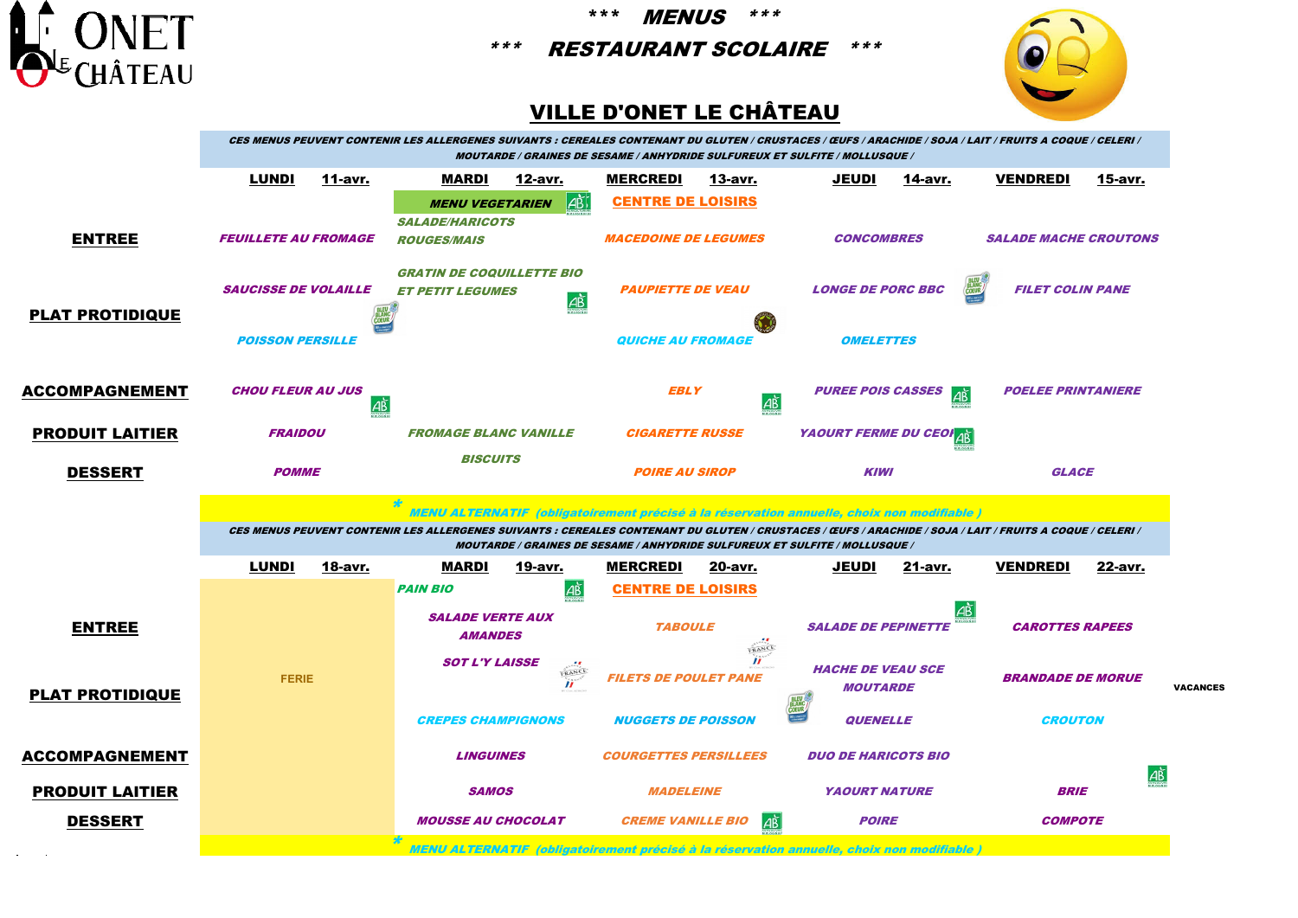

\*\*\* MENUS \*\*\*

\*\*\* RESTAURANT SCOLAIRE \*\*\*



## VILLE D'ONET LE CHÂTEAU

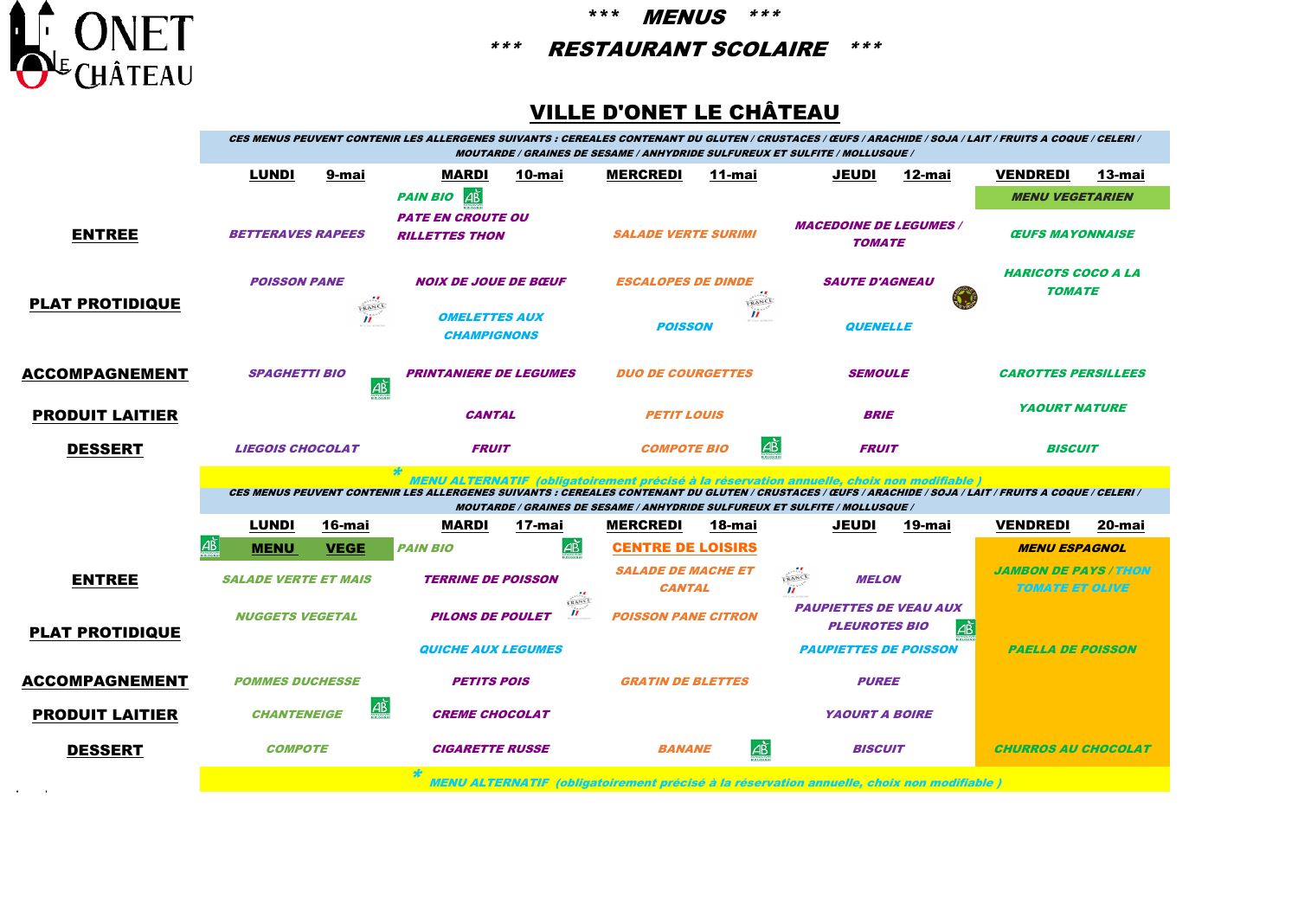

\*\*\* MENUS \*\*\*

\*\*\* RESTAURANT SCOLAIRE \*\*\*

## VILLE D'ONET LE CHÂTEAU

|                        | CES MENUS PEUVENT CONTENIR LES ALLERGENES SUIVANTS : CEREALES CONTENANT DU GLUTEN / CRUSTACES / ŒUFS / ARACHIDE / SOJA / LAIT / FRUITS A COQUE / CELERI /<br><b>MOUTARDE / GRAINES DE SESAME / ANHYDRIDE SULFUREUX ET SULFITE / MOLLUSQUE /</b>          |                       |                                                   |                              |                                             |                       |                                                                                    |        |                                                               |        |  |  |
|------------------------|----------------------------------------------------------------------------------------------------------------------------------------------------------------------------------------------------------------------------------------------------------|-----------------------|---------------------------------------------------|------------------------------|---------------------------------------------|-----------------------|------------------------------------------------------------------------------------|--------|---------------------------------------------------------------|--------|--|--|
|                        | <b>LUNDI</b>                                                                                                                                                                                                                                             | 9-mai                 | <b>MARDI</b>                                      | 10-mai                       | <b>MERCREDI</b>                             | 11-mai                | <b>JEUDI</b>                                                                       | 12-mai | <b>VENDREDI</b>                                               | 13-mai |  |  |
|                        |                                                                                                                                                                                                                                                          |                       | AB<br><b>PAIN BIO</b>                             |                              |                                             |                       |                                                                                    |        | <b>MENU VEGETARIEN</b>                                        |        |  |  |
| <b>ENTREE</b>          | <b>BETTERAVES RAPEES</b>                                                                                                                                                                                                                                 |                       | <b>PATE EN CROUTE OU</b><br><b>RILLETTES THON</b> |                              | <b>SALADE VERTE SURIMI</b>                  |                       | <b>MACEDOINE DE LEGUMES /</b><br><b>TOMATE</b>                                     |        | <b>CEUFS MAYONNAISE</b>                                       |        |  |  |
| <b>PLAT PROTIDIQUE</b> | <b>POISSON PANE</b>                                                                                                                                                                                                                                      |                       | <b>NOIX DE JOUE DE BŒUF</b>                       |                              | <b>ESCALOPES DE DINDE</b><br>FRANCE         |                       | <b>SAUTE D'AGNEAU</b>                                                              |        | <i><b>HARICOTS COCO A LA</b></i><br><b>TOMATE</b>             |        |  |  |
|                        | FRANCE<br>$\boldsymbol{H}$                                                                                                                                                                                                                               |                       | <b>OMELETTES AUX</b><br><b>CHAMPIGNONS</b>        |                              | $\mathbf{u}$<br><b>POISSON</b>              |                       | <b>QUENELLE</b>                                                                    |        |                                                               |        |  |  |
| <b>ACCOMPAGNEMENT</b>  | <b>SPAGHETTI BIO</b><br>$\overrightarrow{AB}$                                                                                                                                                                                                            |                       | <b>PRINTANIERE DE LEGUMES</b>                     |                              | <b>DUO DE COURGETTES</b>                    |                       | <b>SEMOULE</b>                                                                     |        | <b>CAROTTES PERSILLEES</b>                                    |        |  |  |
| <b>PRODUIT LAITIER</b> |                                                                                                                                                                                                                                                          |                       | <b>CANTAL</b>                                     |                              | <b>PETIT LOUIS</b>                          |                       | <b>BRIE</b>                                                                        |        | <b>YAOURT NATURE</b>                                          |        |  |  |
| <b>DESSERT</b>         | <b>LIEGOIS CHOCOLAT</b>                                                                                                                                                                                                                                  |                       | <b>FRUIT</b>                                      |                              | <b>COMPOTE BIO</b>                          | $\overrightarrow{AB}$ | <b>FRUIT</b>                                                                       |        | <b>BISCUIT</b>                                                |        |  |  |
|                        | MENU ALTERNATIF  (obligatoirement précisé à la réservation annuelle, choix non modifiable )<br>CES MENUS PEUVENT CONTENIR LES ALLERGENES SUIVANTS : CEREALES CONTENANT DU GLUTEN / CRUSTACES / ŒUFS / ARACHIDE / SOJA / LAIT / FRUITS A COQUE / CELERI / |                       |                                                   |                              |                                             |                       |                                                                                    |        |                                                               |        |  |  |
|                        |                                                                                                                                                                                                                                                          |                       |                                                   |                              |                                             |                       |                                                                                    |        |                                                               |        |  |  |
|                        |                                                                                                                                                                                                                                                          |                       |                                                   |                              |                                             |                       | <b>MOUTARDE / GRAINES DE SESAME / ANHYDRIDE SULFUREUX ET SULFITE / MOLLUSQUE /</b> |        |                                                               |        |  |  |
|                        | <b>LUNDI</b><br><u>  AB</u>                                                                                                                                                                                                                              | 16-mai<br><b>VEGE</b> | <b>MARDI</b><br><b>PAIN BIO</b>                   | 17-mai                       | <b>MERCREDI</b><br><b>CENTRE DE LOISIRS</b> | 18-mai                | JEUDI                                                                              | 19-mai | <b>VENDREDI</b><br><b>MENU ESPAGNOL</b>                       | 20-mai |  |  |
| <b>ENTREE</b>          | <b>MENU</b><br><b>SALADE VERTE ET MAIS</b>                                                                                                                                                                                                               |                       | <b>TERRINE DE POISSON</b>                         | AB                           | <b>SALADE DE MACHE ET</b><br><b>CANTAL</b>  |                       | FRANCE<br><b>MELON</b><br>$\mathbf{u}$                                             |        | <i><b>JAMBON DE PAYS / THON</b></i><br><b>TOMATE ET OLIVE</b> |        |  |  |
| <b>PLAT PROTIDIQUE</b> | <b>NUGGETS VEGETAL</b>                                                                                                                                                                                                                                   |                       | <b>PILONS DE POULET</b>                           | FRANCE<br>$\boldsymbol{\mu}$ | <b>POISSON PANE CITRON</b>                  |                       | <b>PAUPIETTES DE VEAU AUX</b><br><b>PLEUROTES BIO</b>                              | дĎ     |                                                               |        |  |  |
|                        |                                                                                                                                                                                                                                                          |                       | <b>QUICHE AUX LEGUMES</b>                         |                              |                                             |                       | <b>PAUPIETTES DE POISSON</b>                                                       |        | <b>PAELLA DE POISSON</b>                                      |        |  |  |
| <b>ACCOMPAGNEMENT</b>  | <b>POMMES DUCHESSE</b>                                                                                                                                                                                                                                   |                       | <b>PETITS POIS</b>                                |                              | <b>GRATIN DE BLETTES</b>                    |                       | <b>PUREE</b>                                                                       |        |                                                               |        |  |  |
| <b>PRODUIT LAITIER</b> | <b>CHANTENEIGE</b>                                                                                                                                                                                                                                       | AB                    | <b>CREME CHOCOLAT</b>                             |                              |                                             |                       | <b>YAOURT A BOIRE</b>                                                              |        |                                                               |        |  |  |
| <b>DESSERT</b>         | <b>COMPOTE</b>                                                                                                                                                                                                                                           |                       | <b>CIGARETTE RUSSE</b>                            |                              | <b>BANANE</b>                               | <u>AŘ</u>             | <b>BISCUIT</b>                                                                     |        | <b>CHURROS AU CHOCOLAT</b>                                    |        |  |  |